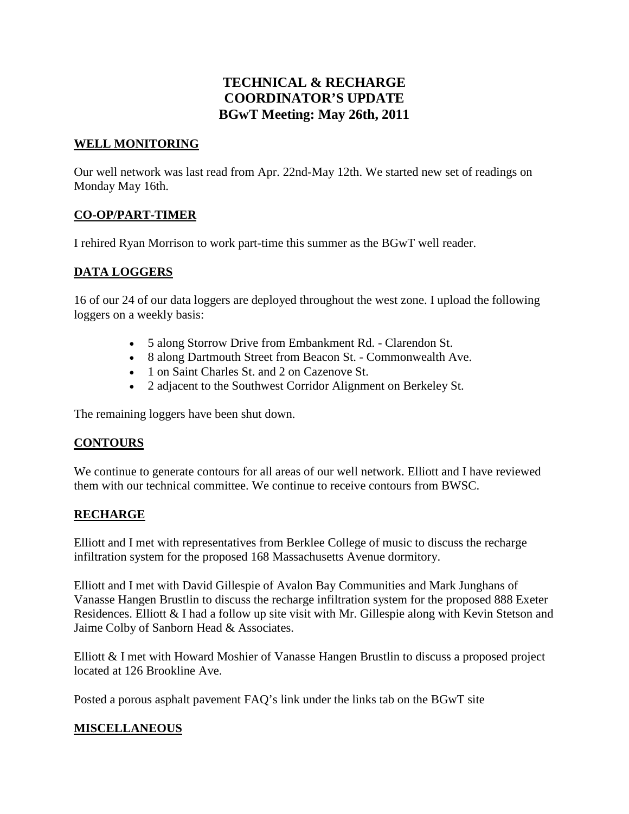# **TECHNICAL & RECHARGE COORDINATOR'S UPDATE BGwT Meeting: May 26th, 2011**

### **WELL MONITORING**

Our well network was last read from Apr. 22nd-May 12th. We started new set of readings on Monday May 16th.

## **CO-OP/PART-TIMER**

I rehired Ryan Morrison to work part-time this summer as the BGwT well reader.

## **DATA LOGGERS**

16 of our 24 of our data loggers are deployed throughout the west zone. I upload the following loggers on a weekly basis:

- 5 along Storrow Drive from Embankment Rd. Clarendon St.
- 8 along Dartmouth Street from Beacon St. Commonwealth Ave.
- 1 on Saint Charles St. and 2 on Cazenove St.
- 2 adjacent to the Southwest Corridor Alignment on Berkeley St.

The remaining loggers have been shut down.

### **CONTOURS**

We continue to generate contours for all areas of our well network. Elliott and I have reviewed them with our technical committee. We continue to receive contours from BWSC.

### **RECHARGE**

Elliott and I met with representatives from Berklee College of music to discuss the recharge infiltration system for the proposed 168 Massachusetts Avenue dormitory.

Elliott and I met with David Gillespie of Avalon Bay Communities and Mark Junghans of Vanasse Hangen Brustlin to discuss the recharge infiltration system for the proposed 888 Exeter Residences. Elliott & I had a follow up site visit with Mr. Gillespie along with Kevin Stetson and Jaime Colby of Sanborn Head & Associates.

Elliott & I met with Howard Moshier of Vanasse Hangen Brustlin to discuss a proposed project located at 126 Brookline Ave.

Posted a porous asphalt pavement FAQ's link under the links tab on the BGwT site

### **MISCELLANEOUS**